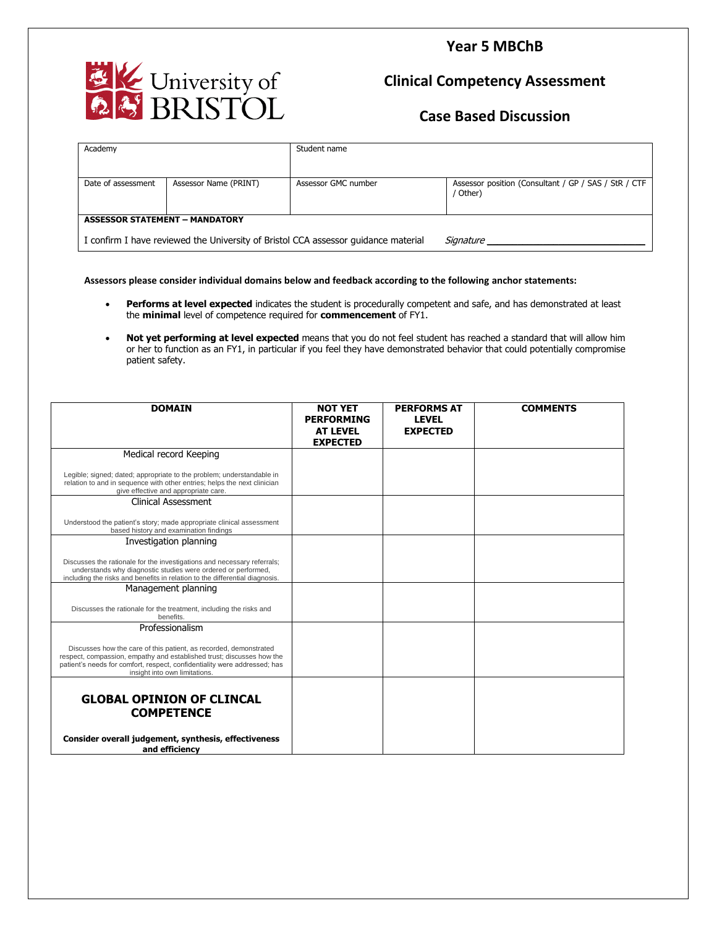### **Year 5 MBChB**



# **Clinical Competency Assessment**

### **Case Based Discussion**

| Academy                                                                            |                       | Student name        |                                                                  |  |  |  |
|------------------------------------------------------------------------------------|-----------------------|---------------------|------------------------------------------------------------------|--|--|--|
| Date of assessment                                                                 | Assessor Name (PRINT) | Assessor GMC number | Assessor position (Consultant / GP / SAS / StR / CTF<br>/ Other) |  |  |  |
| <b>ASSESSOR STATEMENT - MANDATORY</b>                                              |                       |                     |                                                                  |  |  |  |
| I confirm I have reviewed the University of Bristol CCA assessor quidance material |                       |                     | Signature                                                        |  |  |  |

**Assessors please consider individual domains below and feedback according to the following anchor statements:**

- **Performs at level expected** indicates the student is procedurally competent and safe, and has demonstrated at least the **minimal** level of competence required for **commencement** of FY1.
- **Not yet performing at level expected** means that you do not feel student has reached a standard that will allow him or her to function as an FY1, in particular if you feel they have demonstrated behavior that could potentially compromise patient safety.

| <b>DOMAIN</b>                                                                                                                                                                                                                                            | <b>NOT YET</b><br><b>PERFORMING</b> | <b>PERFORMS AT</b><br><b>LEVEL</b> | <b>COMMENTS</b> |
|----------------------------------------------------------------------------------------------------------------------------------------------------------------------------------------------------------------------------------------------------------|-------------------------------------|------------------------------------|-----------------|
|                                                                                                                                                                                                                                                          | <b>AT LEVEL</b>                     | <b>EXPECTED</b>                    |                 |
|                                                                                                                                                                                                                                                          | <b>EXPECTED</b>                     |                                    |                 |
| Medical record Keeping                                                                                                                                                                                                                                   |                                     |                                    |                 |
| Legible; signed; dated; appropriate to the problem; understandable in<br>relation to and in sequence with other entries; helps the next clinician<br>give effective and appropriate care.                                                                |                                     |                                    |                 |
| Clinical Assessment                                                                                                                                                                                                                                      |                                     |                                    |                 |
| Understood the patient's story; made appropriate clinical assessment<br>based history and examination findings                                                                                                                                           |                                     |                                    |                 |
| Investigation planning                                                                                                                                                                                                                                   |                                     |                                    |                 |
| Discusses the rationale for the investigations and necessary referrals;<br>understands why diagnostic studies were ordered or performed,<br>including the risks and benefits in relation to the differential diagnosis.                                  |                                     |                                    |                 |
| Management planning                                                                                                                                                                                                                                      |                                     |                                    |                 |
| Discusses the rationale for the treatment, including the risks and<br>benefits.                                                                                                                                                                          |                                     |                                    |                 |
| Professionalism                                                                                                                                                                                                                                          |                                     |                                    |                 |
| Discusses how the care of this patient, as recorded, demonstrated<br>respect, compassion, empathy and established trust; discusses how the<br>patient's needs for comfort, respect, confidentiality were addressed; has<br>insight into own limitations. |                                     |                                    |                 |
| <b>GLOBAL OPINION OF CLINCAL</b>                                                                                                                                                                                                                         |                                     |                                    |                 |
| <b>COMPETENCE</b>                                                                                                                                                                                                                                        |                                     |                                    |                 |
| Consider overall judgement, synthesis, effectiveness<br>and efficiency                                                                                                                                                                                   |                                     |                                    |                 |